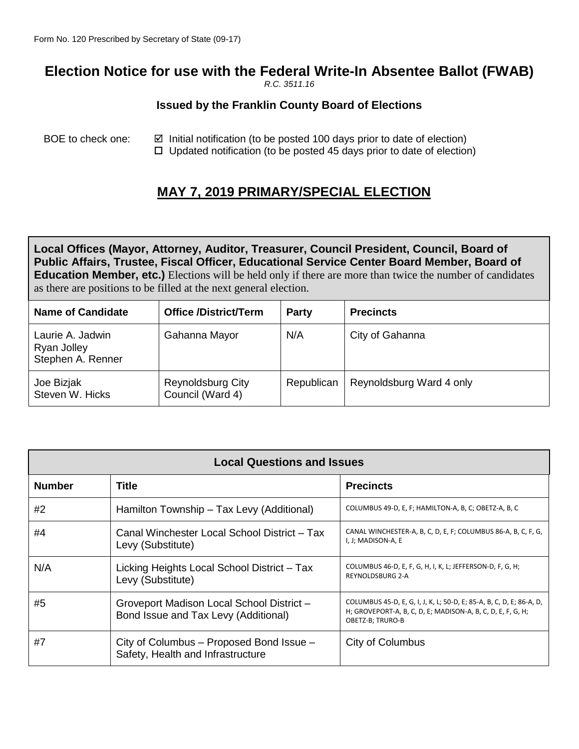# **Election Notice for use with the Federal Write-In Absentee Ballot (FWAB)**

*R.C. 3511.16*

#### **Issued by the Franklin County Board of Elections**

BOE to check one:  $\boxtimes$  Initial notification (to be posted 100 days prior to date of election)  $\Box$  Updated notification (to be posted 45 days prior to date of election)

## **MAY 7, 2019 PRIMARY/SPECIAL ELECTION**

**Local Offices (Mayor, Attorney, Auditor, Treasurer, Council President, Council, Board of Public Affairs, Trustee, Fiscal Officer, Educational Service Center Board Member, Board of Education Member, etc.)** Elections will be held only if there are more than twice the number of candidates as there are positions to be filled at the next general election.

| <b>Name of Candidate</b>                             | <b>Office /District/Term</b>                 | <b>Party</b> | <b>Precincts</b>         |
|------------------------------------------------------|----------------------------------------------|--------------|--------------------------|
| Laurie A. Jadwin<br>Ryan Jolley<br>Stephen A. Renner | Gahanna Mayor                                | N/A          | City of Gahanna          |
| Joe Bizjak<br>Steven W. Hicks                        | <b>Reynoldsburg City</b><br>Council (Ward 4) | Republican   | Reynoldsburg Ward 4 only |

| <b>Local Questions and Issues</b> |                                                                                   |                                                                                                                                                         |  |  |
|-----------------------------------|-----------------------------------------------------------------------------------|---------------------------------------------------------------------------------------------------------------------------------------------------------|--|--|
| <b>Number</b>                     | Title                                                                             | <b>Precincts</b>                                                                                                                                        |  |  |
| #2                                | Hamilton Township - Tax Levy (Additional)                                         | COLUMBUS 49-D, E, F; HAMILTON-A, B, C; OBETZ-A, B, C                                                                                                    |  |  |
| #4                                | Canal Winchester Local School District - Tax<br>Levy (Substitute)                 | CANAL WINCHESTER-A, B, C, D, E, F; COLUMBUS 86-A, B, C, F, G,<br>I, J; MADISON-A, E                                                                     |  |  |
| N/A                               | Licking Heights Local School District - Tax<br>Levy (Substitute)                  | COLUMBUS 46-D, E, F, G, H, I, K, L; JEFFERSON-D, F, G, H;<br><b>REYNOLDSBURG 2-A</b>                                                                    |  |  |
| #5                                | Groveport Madison Local School District -<br>Bond Issue and Tax Levy (Additional) | COLUMBUS 45-D, E, G, I, J, K, L; 50-D, E; 85-A, B, C, D, E; 86-A, D,<br>H; GROVEPORT-A, B, C, D, E; MADISON-A, B, C, D, E, F, G, H;<br>OBETZ-B; TRURO-B |  |  |
| #7                                | City of Columbus - Proposed Bond Issue -<br>Safety, Health and Infrastructure     | City of Columbus                                                                                                                                        |  |  |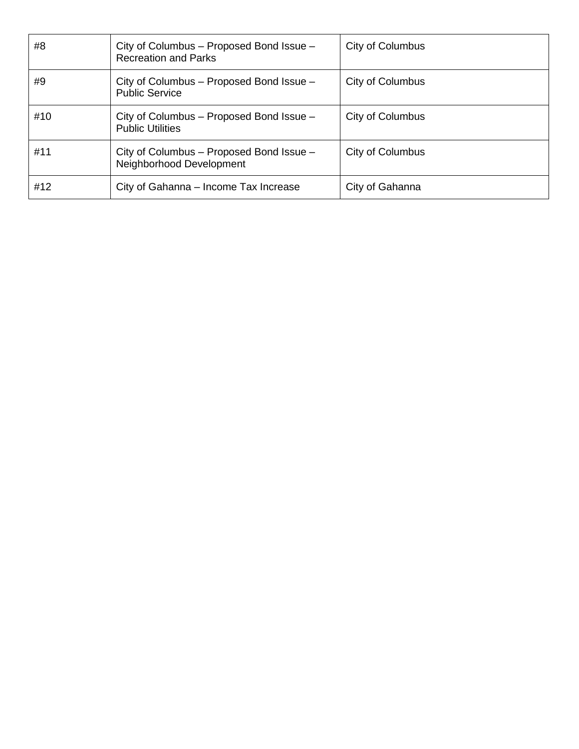| #8  | City of Columbus – Proposed Bond Issue –<br><b>Recreation and Parks</b> | City of Columbus |
|-----|-------------------------------------------------------------------------|------------------|
| #9  | City of Columbus - Proposed Bond Issue -<br><b>Public Service</b>       | City of Columbus |
| #10 | City of Columbus – Proposed Bond Issue –<br><b>Public Utilities</b>     | City of Columbus |
| #11 | City of Columbus - Proposed Bond Issue -<br>Neighborhood Development    | City of Columbus |
| #12 | City of Gahanna – Income Tax Increase                                   | City of Gahanna  |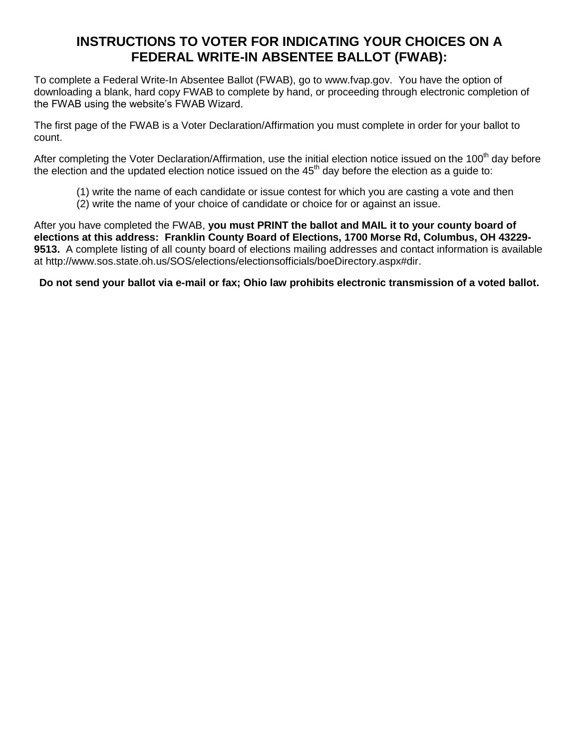### **INSTRUCTIONS TO VOTER FOR INDICATING YOUR CHOICES ON A FEDERAL WRITE-IN ABSENTEE BALLOT (FWAB):**

To complete a Federal Write-In Absentee Ballot (FWAB), go to [www.fvap.gov.](http://www.fvap.gov/) You have the option of downloading a blank, hard copy FWAB to complete by hand, or proceeding through electronic completion of the FWAB using the website's FWAB Wizard.

The first page of the FWAB is a Voter Declaration/Affirmation you must complete in order for your ballot to count.

After completing the Voter Declaration/Affirmation, use the initial election notice issued on the 100<sup>th</sup> day before the election and the updated election notice issued on the  $45<sup>th</sup>$  day before the election as a guide to:

- (1) write the name of each candidate or issue contest for which you are casting a vote and then
- (2) write the name of your choice of candidate or choice for or against an issue.

After you have completed the FWAB, **you must PRINT the ballot and MAIL it to your county board of elections at this address: Franklin County Board of Elections, 1700 Morse Rd, Columbus, OH 43229- 9513.** A complete listing of all county board of elections mailing addresses and contact information is available at [http://www.sos.state.oh.us/SOS/elections/electionsofficials/boeDirectory.aspx#dir.](http://www.sos.state.oh.us/SOS/elections/electionsofficials/boeDirectory.aspx%23dir)

**Do not send your ballot via e-mail or fax; Ohio law prohibits electronic transmission of a voted ballot.**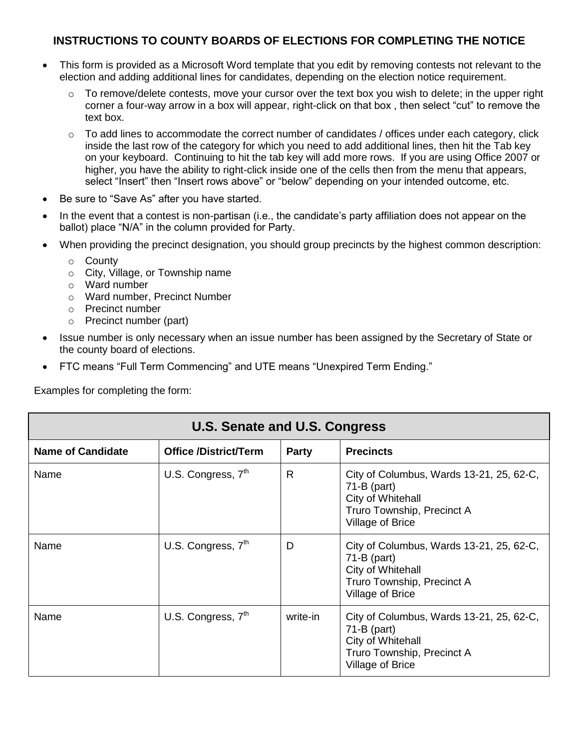### **INSTRUCTIONS TO COUNTY BOARDS OF ELECTIONS FOR COMPLETING THE NOTICE**

- This form is provided as a Microsoft Word template that you edit by removing contests not relevant to the election and adding additional lines for candidates, depending on the election notice requirement.
	- o To remove/delete contests, move your cursor over the text box you wish to delete; in the upper right corner a four-way arrow in a box will appear, right-click on that box , then select "cut" to remove the text box.
	- $\circ$  To add lines to accommodate the correct number of candidates / offices under each category, click inside the last row of the category for which you need to add additional lines, then hit the Tab key on your keyboard. Continuing to hit the tab key will add more rows. If you are using Office 2007 or higher, you have the ability to right-click inside one of the cells then from the menu that appears, select "Insert" then "Insert rows above" or "below" depending on your intended outcome, etc.
- Be sure to "Save As" after you have started.
- In the event that a contest is non-partisan (i.e., the candidate's party affiliation does not appear on the ballot) place "N/A" in the column provided for Party.
- When providing the precinct designation, you should group precincts by the highest common description:
	- o County
	- o City, Village, or Township name
	- o Ward number
	- o Ward number, Precinct Number
	- o Precinct number
	- o Precinct number (part)
- Issue number is only necessary when an issue number has been assigned by the Secretary of State or the county board of elections.
- FTC means "Full Term Commencing" and UTE means "Unexpired Term Ending."

Examples for completing the form:

| U.S. Senate and U.S. Congress |                              |              |                                                                                                                                  |  |  |
|-------------------------------|------------------------------|--------------|----------------------------------------------------------------------------------------------------------------------------------|--|--|
| <b>Name of Candidate</b>      | <b>Office /District/Term</b> | <b>Party</b> | <b>Precincts</b>                                                                                                                 |  |  |
| Name                          | U.S. Congress, $7th$         | $\mathsf{R}$ | City of Columbus, Wards 13-21, 25, 62-C,<br>$71-B$ (part)<br>City of Whitehall<br>Truro Township, Precinct A<br>Village of Brice |  |  |
| Name                          | U.S. Congress, $7th$         | D            | City of Columbus, Wards 13-21, 25, 62-C,<br>$71-B$ (part)<br>City of Whitehall<br>Truro Township, Precinct A<br>Village of Brice |  |  |
| Name                          | U.S. Congress, $7th$         | write-in     | City of Columbus, Wards 13-21, 25, 62-C,<br>$71-B$ (part)<br>City of Whitehall<br>Truro Township, Precinct A<br>Village of Brice |  |  |